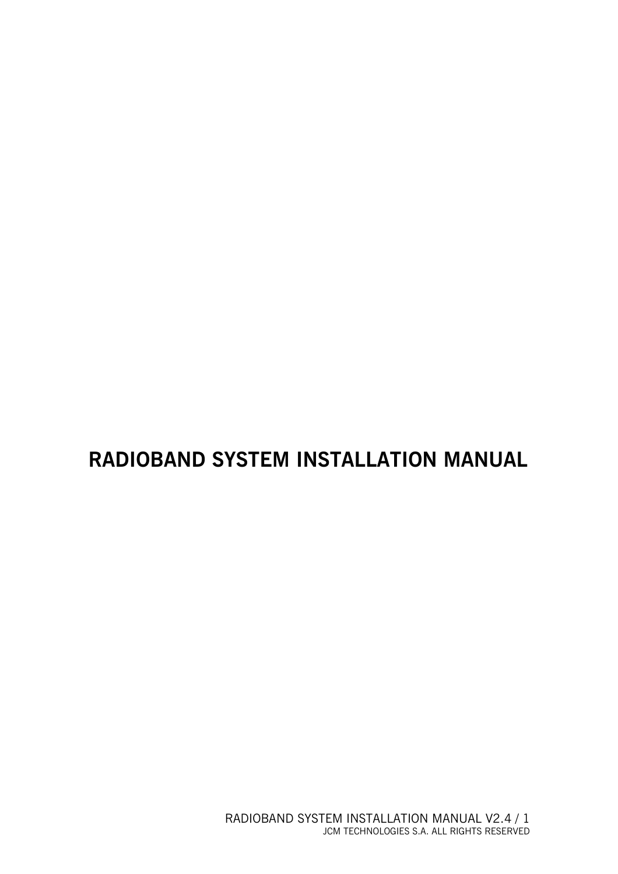# **RADIOBAND SYSTEM INSTALLATION MANUAL**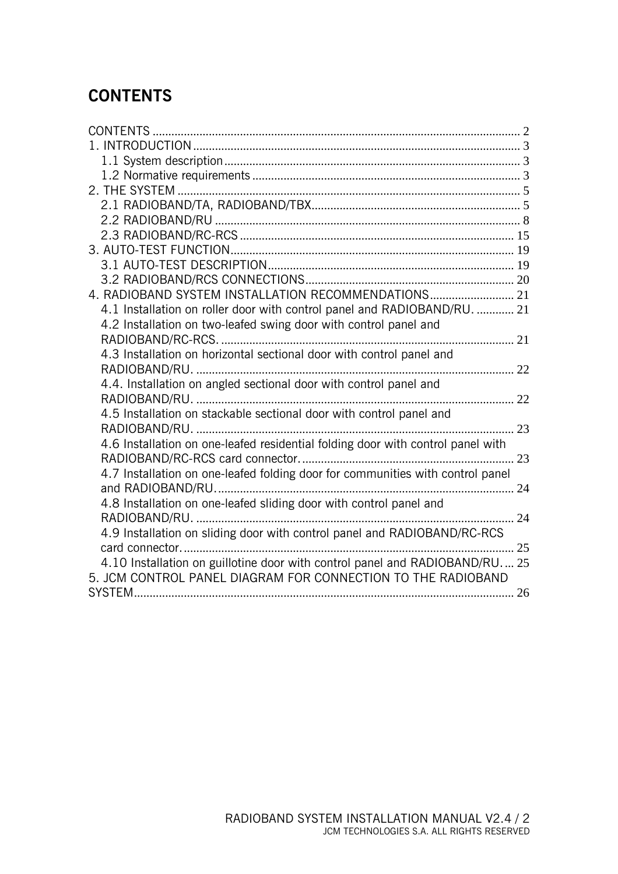# **CONTENTS**

| 4. RADIOBAND SYSTEM INSTALLATION RECOMMENDATIONS 21                             |  |
|---------------------------------------------------------------------------------|--|
| 4.1 Installation on roller door with control panel and RADIOBAND/RU.  21        |  |
| 4.2 Installation on two-leafed swing door with control panel and                |  |
|                                                                                 |  |
| 4.3 Installation on horizontal sectional door with control panel and            |  |
|                                                                                 |  |
| 4.4. Installation on angled sectional door with control panel and               |  |
|                                                                                 |  |
| 4.5 Installation on stackable sectional door with control panel and             |  |
|                                                                                 |  |
| 4.6 Installation on one-leafed residential folding door with control panel with |  |
|                                                                                 |  |
| 4.7 Installation on one-leafed folding door for communities with control panel  |  |
|                                                                                 |  |
| 4.8 Installation on one-leafed sliding door with control panel and              |  |
|                                                                                 |  |
| 4.9 Installation on sliding door with control panel and RADIOBAND/RC-RCS        |  |
|                                                                                 |  |
| 4.10 Installation on guillotine door with control panel and RADIOBAND/RU 25     |  |
| 5. JCM CONTROL PANEL DIAGRAM FOR CONNECTION TO THE RADIOBAND                    |  |
|                                                                                 |  |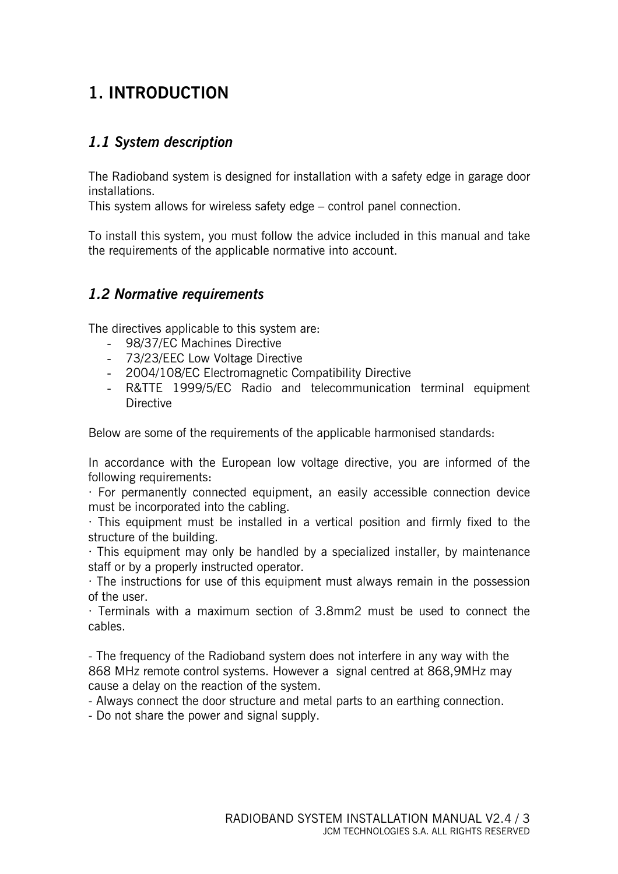## **1. INTRODUCTION**

#### *1.1 System description*

The Radioband system is designed for installation with a safety edge in garage door installations.

This system allows for wireless safety edge – control panel connection.

To install this system, you must follow the advice included in this manual and take the requirements of the applicable normative into account.

#### *1.2 Normative requirements*

The directives applicable to this system are:

- 98/37/EC Machines Directive
- 73/23/EEC Low Voltage Directive
- 2004/108/EC Electromagnetic Compatibility Directive
- R&TTE 1999/5/EC Radio and telecommunication terminal equipment **Directive**

Below are some of the requirements of the applicable harmonised standards:

In accordance with the European low voltage directive, you are informed of the following requirements:

· For permanently connected equipment, an easily accessible connection device must be incorporated into the cabling.

 $\cdot$  This equipment must be installed in a vertical position and firmly fixed to the structure of the building.

· This equipment may only be handled by a specialized installer, by maintenance staff or by a properly instructed operator.

· The instructions for use of this equipment must always remain in the possession of the user.

· Terminals with a maximum section of 3.8mm2 must be used to connect the cables.

- The frequency of the Radioband system does not interfere in any way with the 868 MHz remote control systems. However a signal centred at 868,9MHz may cause a delay on the reaction of the system.

- Always connect the door structure and metal parts to an earthing connection.

- Do not share the power and signal supply.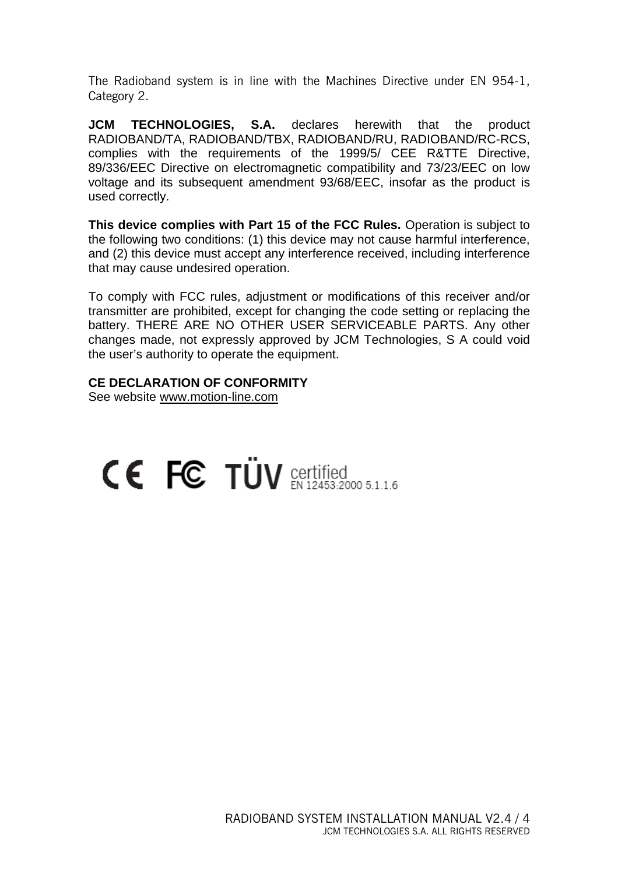The Radioband system is in line with the Machines Directive under EN 954-1, Category 2.

**JCM TECHNOLOGIES. S.A.** declares herewith that the product RADIOBAND/TA, RADIOBAND/TBX, RADIOBAND/RU, RADIOBAND/RC-RCS, complies with the requirements of the 1999/5/ CEE R&TTE Directive, 89/336/EEC Directive on electromagnetic compatibility and 73/23/EEC on low voltage and its subsequent amendment 93/68/EEC, insofar as the product is used correctly.

**This device complies with Part 15 of the FCC Rules.** Operation is subject to the following two conditions: (1) this device may not cause harmful interference, and (2) this device must accept any interference received, including interference that may cause undesired operation.

To comply with FCC rules, adjustment or modifications of this receiver and/or transmitter are prohibited, except for changing the code setting or replacing the battery. THERE ARE NO OTHER USER SERVICEABLE PARTS. Any other changes made, not expressly approved by JCM Technologies, S A could void the user's authority to operate the equipment.

#### **CE DECLARATION OF CONFORMITY**

See website www.motion-line.com

# CE FC TÜV Certified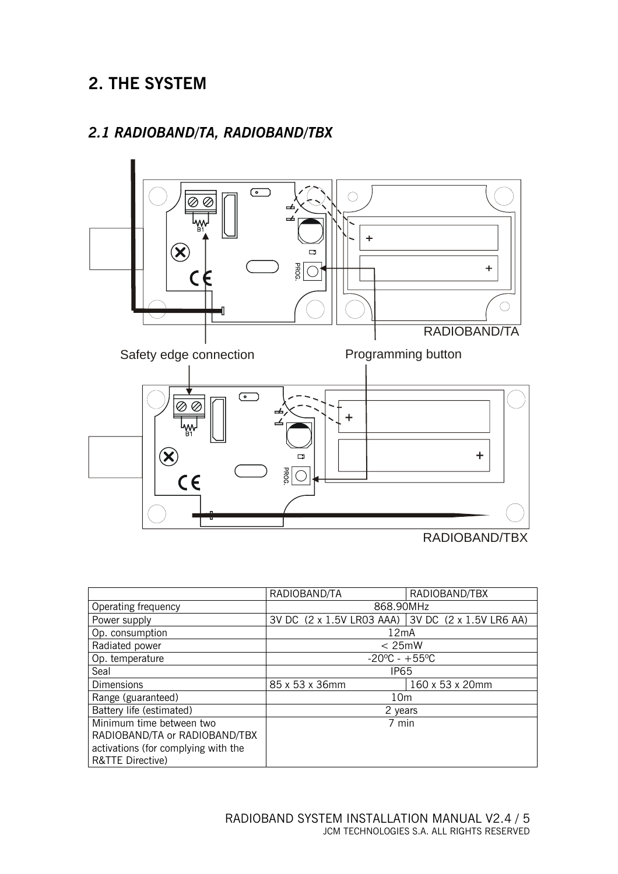# **2. THE SYSTEM**

#### *2.1 RADIOBAND/TA, RADIOBAND/TBX*



|                                     | RADIOBAND/TA                                      | RADIOBAND/TBX |  |
|-------------------------------------|---------------------------------------------------|---------------|--|
| Operating frequency                 | 868.90MHz                                         |               |  |
| Power supply                        | 3V DC (2 x 1.5V LR03 AAA) 3V DC (2 x 1.5V LR6 AA) |               |  |
| Op. consumption                     | 12mA                                              |               |  |
| Radiated power                      | $< 25$ mW                                         |               |  |
| Op. temperature                     | $-20^{\circ}$ C - +55°C                           |               |  |
| Seal                                | IP <sub>65</sub>                                  |               |  |
| <b>Dimensions</b>                   | 85 x 53 x 36mm<br>160 x 53 x 20mm                 |               |  |
| Range (guaranteed)                  | 10 <sub>m</sub>                                   |               |  |
| Battery life (estimated)            | 2 years                                           |               |  |
| Minimum time between two            | 7 min                                             |               |  |
| RADIOBAND/TA or RADIOBAND/TBX       |                                                   |               |  |
| activations (for complying with the |                                                   |               |  |
| R&TTE Directive)                    |                                                   |               |  |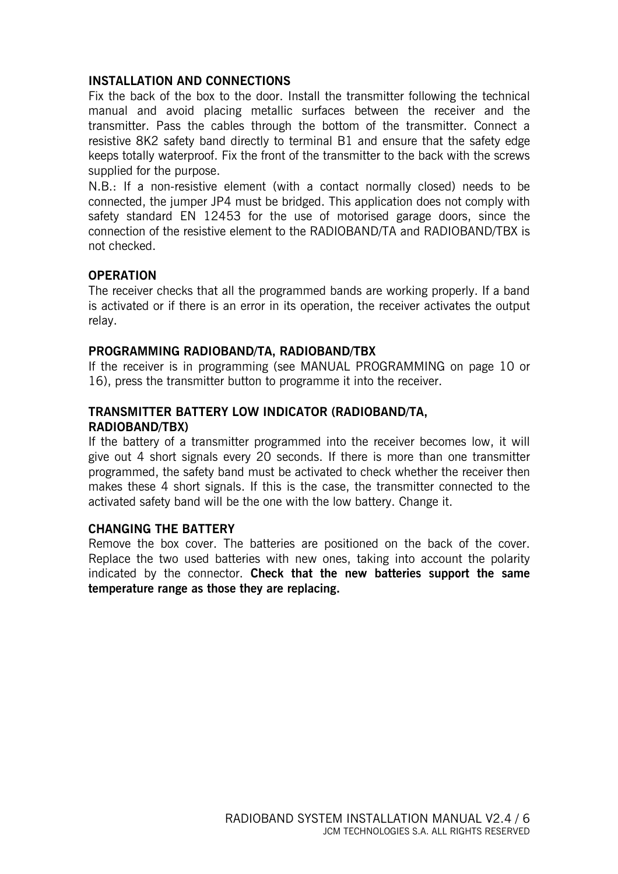#### **INSTALLATION AND CONNECTIONS**

Fix the back of the box to the door. Install the transmitter following the technical manual and avoid placing metallic surfaces between the receiver and the transmitter. Pass the cables through the bottom of the transmitter. Connect a resistive 8K2 safety band directly to terminal B1 and ensure that the safety edge keeps totally waterproof. Fix the front of the transmitter to the back with the screws supplied for the purpose.

N.B.: If a non-resistive element (with a contact normally closed) needs to be connected, the jumper JP4 must be bridged. This application does not comply with safety standard EN 12453 for the use of motorised garage doors, since the connection of the resistive element to the RADIOBAND/TA and RADIOBAND/TBX is not checked.

#### **OPERATION**

The receiver checks that all the programmed bands are working properly. If a band is activated or if there is an error in its operation, the receiver activates the output relay.

#### **PROGRAMMING RADIOBAND/TA, RADIOBAND/TBX**

If the receiver is in programming (see MANUAL PROGRAMMING on page 10 or 16), press the transmitter button to programme it into the receiver.

#### **TRANSMITTER BATTERY LOW INDICATOR (RADIOBAND/TA, RADIOBAND/TBX)**

If the battery of a transmitter programmed into the receiver becomes low, it will give out 4 short signals every 20 seconds. If there is more than one transmitter programmed, the safety band must be activated to check whether the receiver then makes these 4 short signals. If this is the case, the transmitter connected to the activated safety band will be the one with the low battery. Change it.

#### **CHANGING THE BATTERY**

Remove the box cover. The batteries are positioned on the back of the cover. Replace the two used batteries with new ones, taking into account the polarity indicated by the connector. **Check that the new batteries support the same temperature range as those they are replacing.**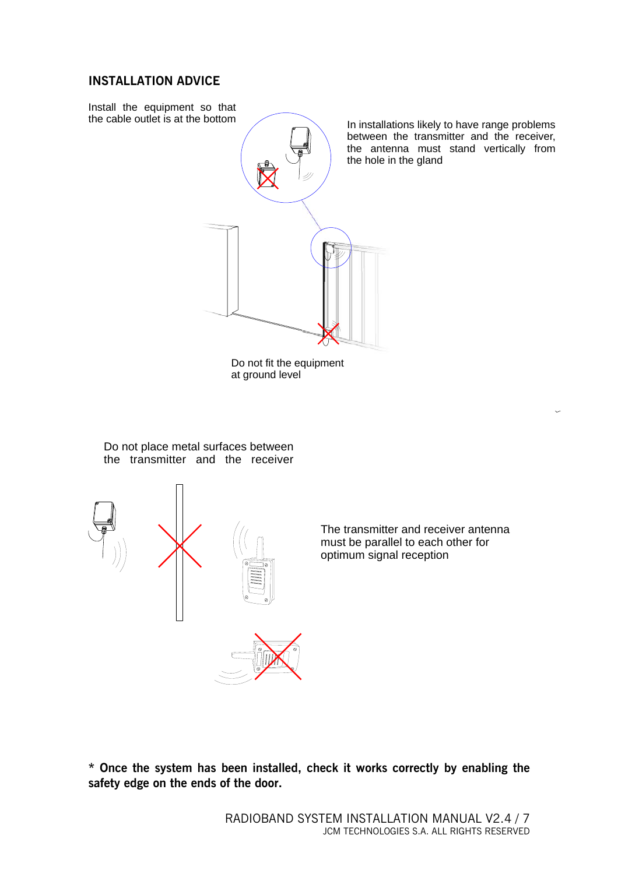#### **INSTALLATION ADVICE**



**\* Once the system has been installed, check it works correctly by enabling the safety edge on the ends of the door.**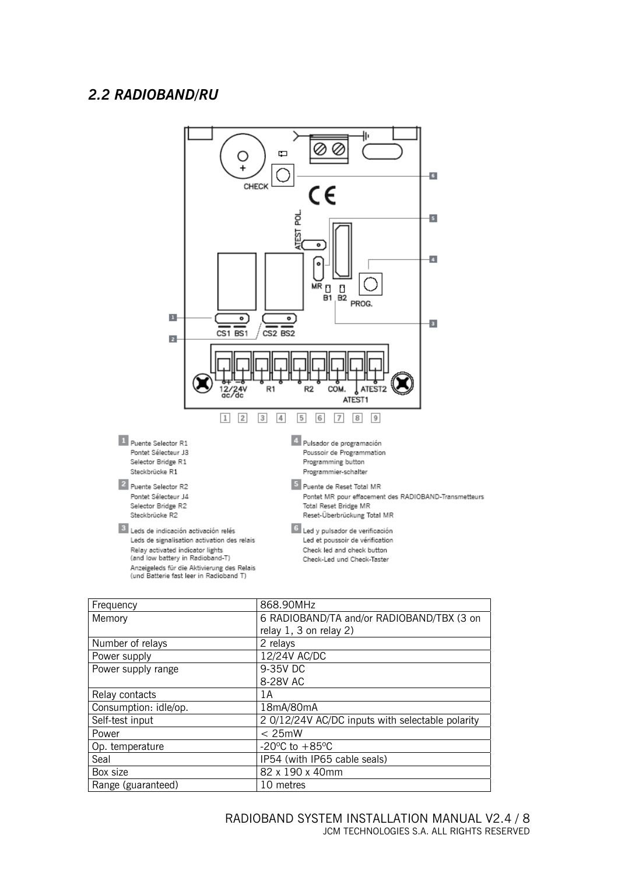#### *2.2 RADIOBAND/RU*



| Frequency             | 868.90MHz                                        |  |
|-----------------------|--------------------------------------------------|--|
| Memory                | 6 RADIOBAND/TA and/or RADIOBAND/TBX (3 on        |  |
|                       | relay $1, 3$ on relay $2)$                       |  |
| Number of relays      | 2 relays                                         |  |
| Power supply          | 12/24V AC/DC                                     |  |
| Power supply range    | 9-35V DC                                         |  |
|                       | 8-28V AC                                         |  |
| Relay contacts        | 1 A                                              |  |
| Consumption: idle/op. | 18mA/80mA                                        |  |
| Self-test input       | 2 0/12/24V AC/DC inputs with selectable polarity |  |
| Power                 | $< 25$ mW                                        |  |
| Op. temperature       | -20 $^{\circ}$ C to +85 $^{\circ}$ C             |  |
| Seal                  | IP54 (with IP65 cable seals)                     |  |
| Box size              | 82 x 190 x 40mm                                  |  |
| Range (guaranteed)    | 10 metres                                        |  |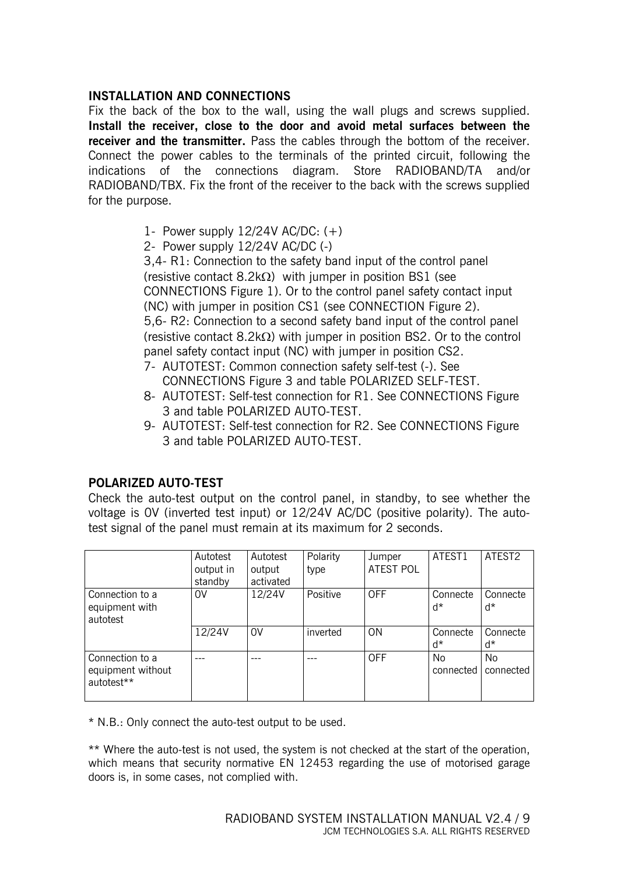#### **INSTALLATION AND CONNECTIONS**

Fix the back of the box to the wall, using the wall plugs and screws supplied. **Install the receiver, close to the door and avoid metal surfaces between the receiver and the transmitter.** Pass the cables through the bottom of the receiver. Connect the power cables to the terminals of the printed circuit, following the indications of the connections diagram. Store RADIOBAND/TA and/or RADIOBAND/TBX. Fix the front of the receiver to the back with the screws supplied for the purpose.

- 1- Power supply 12/24V AC/DC: (+)
- 2- Power supply 12/24V AC/DC (-)

3,4- R1: Connection to the safety band input of the control panel (resistive contact  $8.2k\Omega$ ) with jumper in position BS1 (see CONNECTIONS Figure 1). Or to the control panel safety contact input (NC) with jumper in position CS1 (see CONNECTION Figure 2). 5,6- R2: Connection to a second safety band input of the control panel (resistive contact 8.2kΩ) with jumper in position BS2. Or to the control panel safety contact input (NC) with jumper in position CS2.

- 7- AUTOTEST: Common connection safety self-test (-). See CONNECTIONS Figure 3 and table POLARIZED SELF-TEST.
- 8- AUTOTEST: Self-test connection for R1. See CONNECTIONS Figure 3 and table POLARIZED AUTO-TEST.
- 9- AUTOTEST: Self-test connection for R2. See CONNECTIONS Figure 3 and table POLARIZED AUTO-TEST.

#### **POLARIZED AUTO-TEST**

Check the auto-test output on the control panel, in standby, to see whether the voltage is 0V (inverted test input) or 12/24V AC/DC (positive polarity). The autotest signal of the panel must remain at its maximum for 2 seconds.

|                                                                | Autotest<br>output in<br>standby | Autotest<br>output<br>activated | Polarity<br>type | Jumper<br><b>ATEST POL</b> | ATEST1                 | ATEST2                 |
|----------------------------------------------------------------|----------------------------------|---------------------------------|------------------|----------------------------|------------------------|------------------------|
| Connection to a<br>equipment with<br>autotest                  | 0V                               | 12/24V                          | Positive         | <b>OFF</b>                 | Connecte<br>d*         | Connecte<br>ď*         |
|                                                                | 12/24V                           | 0V                              | inverted         | <b>ON</b>                  | Connecte<br>ď*         | Connecte<br>ď*         |
| Connection to a<br>equipment without<br>autotest <sup>**</sup> |                                  |                                 |                  | <b>OFF</b>                 | <b>No</b><br>connected | <b>No</b><br>connected |

\* N.B.: Only connect the auto-test output to be used.

\*\* Where the auto-test is not used, the system is not checked at the start of the operation, which means that security normative EN 12453 regarding the use of motorised garage doors is, in some cases, not complied with.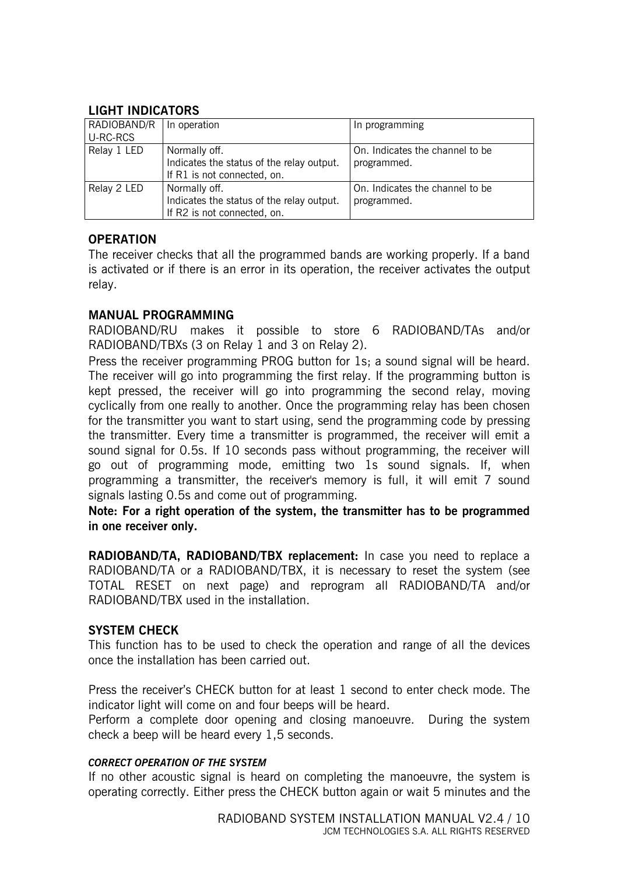#### **LIGHT INDICATORS**

| RADIOBAND/R | In operation                              | In programming                  |
|-------------|-------------------------------------------|---------------------------------|
| U-RC-RCS    |                                           |                                 |
| Relay 1 LED | Normally off.                             | On. Indicates the channel to be |
|             | Indicates the status of the relay output. | programmed.                     |
|             | If R1 is not connected, on.               |                                 |
| Relay 2 LED | Normally off.                             | On. Indicates the channel to be |
|             | Indicates the status of the relay output. | programmed.                     |
|             | If R2 is not connected, on.               |                                 |

#### **OPERATION**

The receiver checks that all the programmed bands are working properly. If a band is activated or if there is an error in its operation, the receiver activates the output relay.

#### **MANUAL PROGRAMMING**

RADIOBAND/RU makes it possible to store 6 RADIOBAND/TAs and/or RADIOBAND/TBXs (3 on Relay 1 and 3 on Relay 2).

Press the receiver programming PROG button for 1s; a sound signal will be heard. The receiver will go into programming the first relay. If the programming button is kept pressed, the receiver will go into programming the second relay, moving cyclically from one really to another. Once the programming relay has been chosen for the transmitter you want to start using, send the programming code by pressing the transmitter. Every time a transmitter is programmed, the receiver will emit a sound signal for 0.5s. If 10 seconds pass without programming, the receiver will go out of programming mode, emitting two 1s sound signals. If, when programming a transmitter, the receiver's memory is full, it will emit 7 sound signals lasting 0.5s and come out of programming.

**Note: For a right operation of the system, the transmitter has to be programmed in one receiver only.** 

**RADIOBAND/TA, RADIOBAND/TBX replacement:** In case you need to replace a RADIOBAND/TA or a RADIOBAND/TBX, it is necessary to reset the system (see TOTAL RESET on next page) and reprogram all RADIOBAND/TA and/or RADIOBAND/TBX used in the installation.

#### **SYSTEM CHECK**

This function has to be used to check the operation and range of all the devices once the installation has been carried out.

Press the receiver's CHECK button for at least 1 second to enter check mode. The indicator light will come on and four beeps will be heard.

Perform a complete door opening and closing manoeuvre. During the system check a beep will be heard every 1,5 seconds.

#### *CORRECT OPERATION OF THE SYSTEM*

If no other acoustic signal is heard on completing the manoeuvre, the system is operating correctly. Either press the CHECK button again or wait 5 minutes and the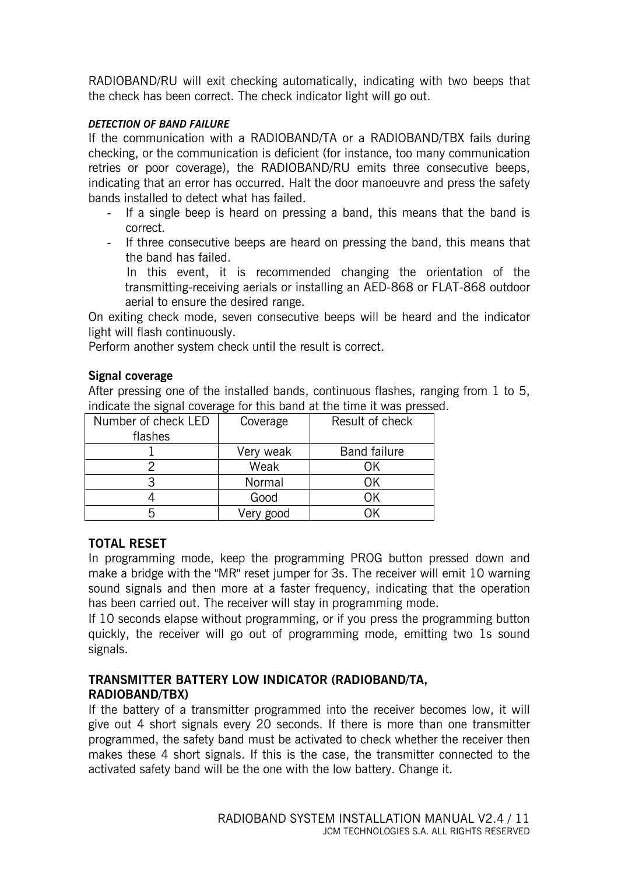RADIOBAND/RU will exit checking automatically, indicating with two beeps that the check has been correct. The check indicator light will go out.

#### *DETECTION OF BAND FAILURE*

If the communication with a RADIOBAND/TA or a RADIOBAND/TBX fails during checking, or the communication is deficient (for instance, too many communication retries or poor coverage), the RADIOBAND/RU emits three consecutive beeps, indicating that an error has occurred. Halt the door manoeuvre and press the safety bands installed to detect what has failed.

- If a single beep is heard on pressing a band, this means that the band is correct.
- If three consecutive beeps are heard on pressing the band, this means that the band has failed.

In this event, it is recommended changing the orientation of the transmitting-receiving aerials or installing an AED-868 or FLAT-868 outdoor aerial to ensure the desired range.

On exiting check mode, seven consecutive beeps will be heard and the indicator light will flash continuously.

Perform another system check until the result is correct.

#### **Signal coverage**

After pressing one of the installed bands, continuous flashes, ranging from 1 to 5, indicate the signal coverage for this band at the time it was pressed.

| Number of check LED | Coverage  | Result of check     |
|---------------------|-----------|---------------------|
| flashes             |           |                     |
|                     | Very weak | <b>Band failure</b> |
|                     | Weak      |                     |
|                     | Normal    | ΩK                  |
|                     | Good      |                     |
|                     | Very good |                     |

#### **TOTAL RESET**

In programming mode, keep the programming PROG button pressed down and make a bridge with the "MR" reset jumper for 3s. The receiver will emit 10 warning sound signals and then more at a faster frequency, indicating that the operation has been carried out. The receiver will stay in programming mode.

If 10 seconds elapse without programming, or if you press the programming button quickly, the receiver will go out of programming mode, emitting two 1s sound signals.

#### **TRANSMITTER BATTERY LOW INDICATOR (RADIOBAND/TA, RADIOBAND/TBX)**

If the battery of a transmitter programmed into the receiver becomes low, it will give out 4 short signals every 20 seconds. If there is more than one transmitter programmed, the safety band must be activated to check whether the receiver then makes these 4 short signals. If this is the case, the transmitter connected to the activated safety band will be the one with the low battery. Change it.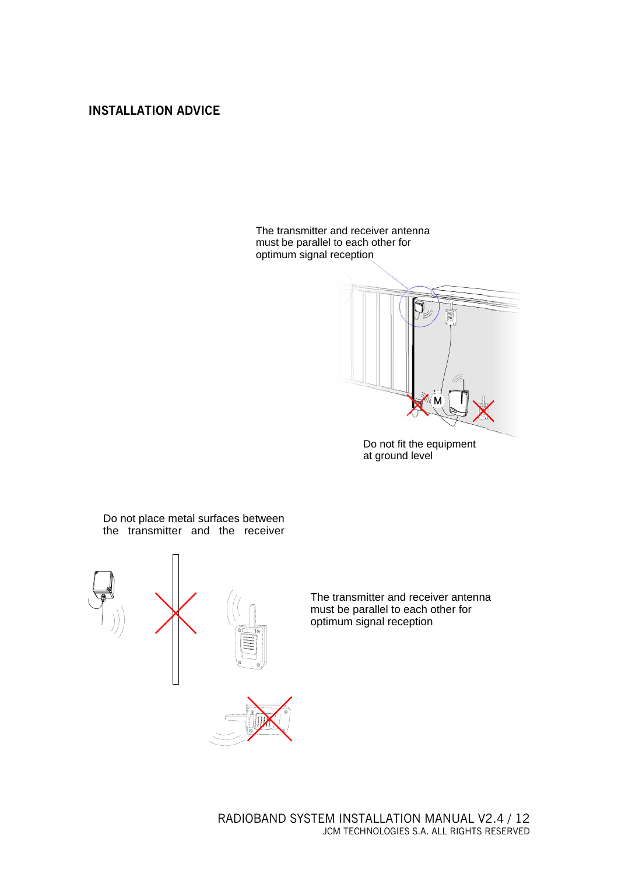#### **INSTALLATION ADVICE**

The transmitter and receiver antenna must be parallel to each other for optimum signal reception



Do not fit the equipment at ground level

Do not place metal surfaces between the transmitter and the receiver





The transmitter and receiver antenna must be parallel to each other for optimum signal reception

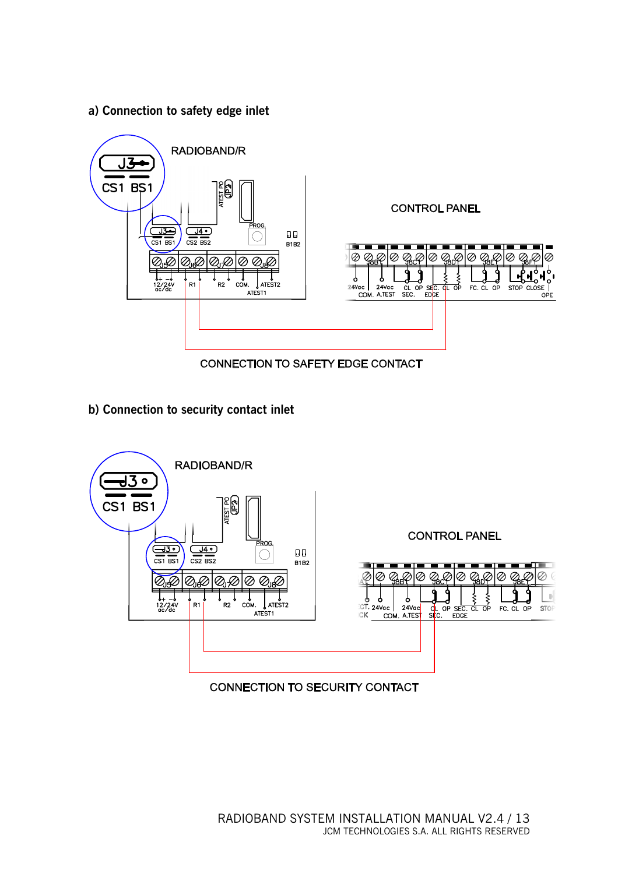**a) Connection to safety edge inlet** 



**CONNECTION TO SAFETY EDGE CONTACT** 

**b) Connection to security contact inlet** 



**CONNECTION TO SECURITY CONTACT**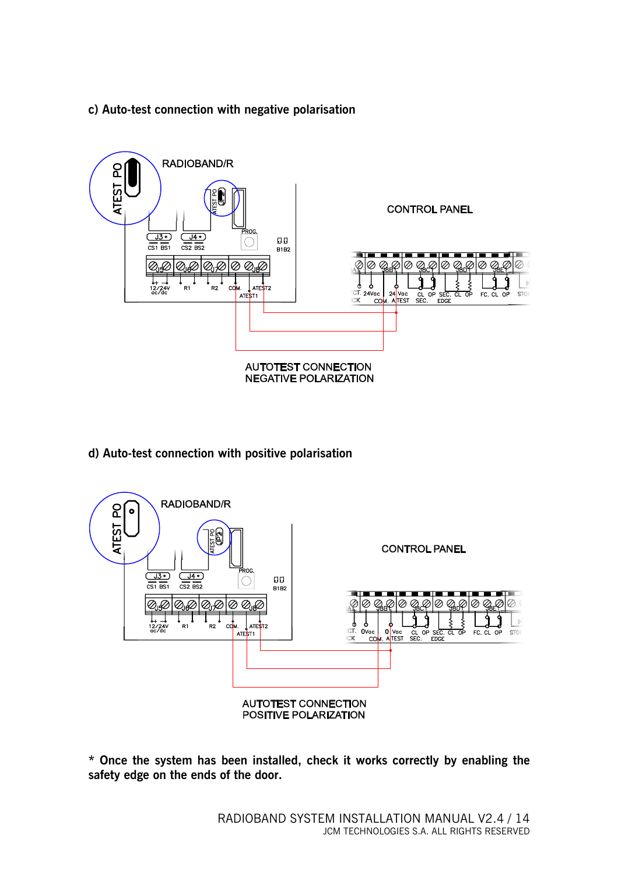#### **c) Auto-test connection with negative polarisation**



**d) Auto-test connection with positive polarisation** 



**\* Once the system has been installed, check it works correctly by enabling the safety edge on the ends of the door.**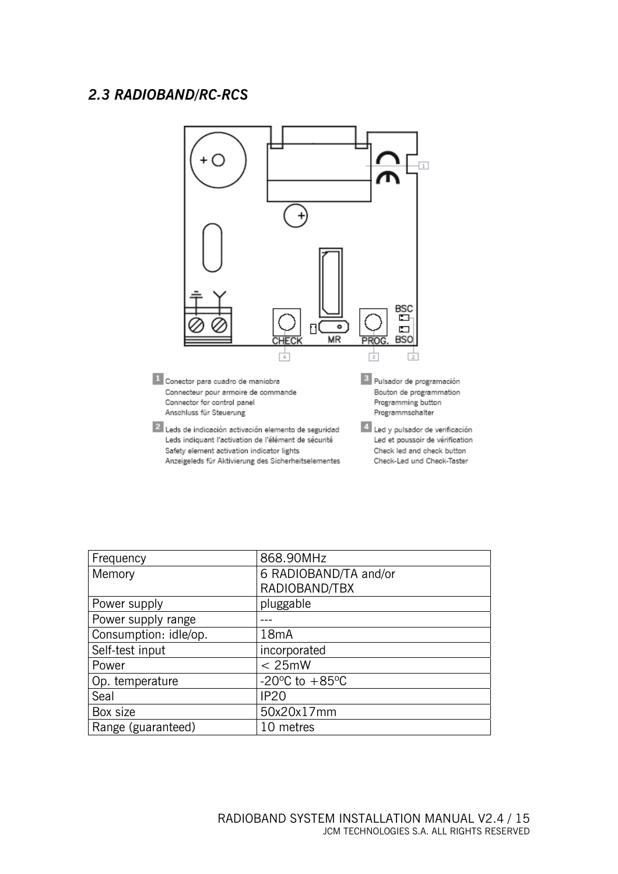#### *2.3 RADIOBAND/RC-RCS*



| Frequency             | 868.90MHz                            |
|-----------------------|--------------------------------------|
| Memory                | 6 RADIOBAND/TA and/or                |
|                       | RADIOBAND/TBX                        |
| Power supply          | pluggable                            |
| Power supply range    |                                      |
| Consumption: idle/op. | 18mA                                 |
| Self-test input       | incorporated                         |
| Power                 | < 25mW                               |
| Op. temperature       | -20 $^{\circ}$ C to +85 $^{\circ}$ C |
| Seal                  | <b>IP20</b>                          |
| Box size              | 50x20x17mm                           |
| Range (guaranteed)    | 10 metres                            |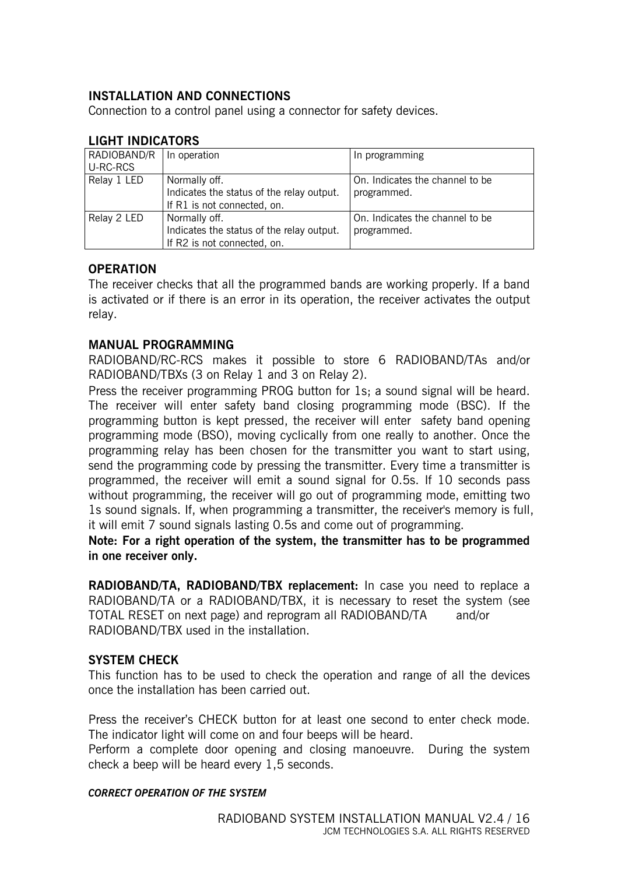#### **INSTALLATION AND CONNECTIONS**

Connection to a control panel using a connector for safety devices.

| RADIOBAND/R | In operation                              | In programming                  |
|-------------|-------------------------------------------|---------------------------------|
| U-RC-RCS    |                                           |                                 |
| Relay 1 LED | Normally off.                             | On. Indicates the channel to be |
|             | Indicates the status of the relay output. | programmed.                     |
|             | If R1 is not connected, on.               |                                 |
| Relay 2 LED | Normally off.                             | On. Indicates the channel to be |
|             | Indicates the status of the relay output. | programmed.                     |
|             | If R2 is not connected, on.               |                                 |

#### **LIGHT INDICATORS**

#### **OPERATION**

The receiver checks that all the programmed bands are working properly. If a band is activated or if there is an error in its operation, the receiver activates the output relay.

#### **MANUAL PROGRAMMING**

RADIOBAND/RC-RCS makes it possible to store 6 RADIOBAND/TAs and/or RADIOBAND/TBXs (3 on Relay 1 and 3 on Relay 2).

Press the receiver programming PROG button for 1s; a sound signal will be heard. The receiver will enter safety band closing programming mode (BSC). If the programming button is kept pressed, the receiver will enter safety band opening programming mode (BSO), moving cyclically from one really to another. Once the programming relay has been chosen for the transmitter you want to start using, send the programming code by pressing the transmitter. Every time a transmitter is programmed, the receiver will emit a sound signal for 0.5s. If 10 seconds pass without programming, the receiver will go out of programming mode, emitting two 1s sound signals. If, when programming a transmitter, the receiver's memory is full, it will emit 7 sound signals lasting 0.5s and come out of programming.

**Note: For a right operation of the system, the transmitter has to be programmed in one receiver only.** 

**RADIOBAND/TA, RADIOBAND/TBX replacement:** In case you need to replace a RADIOBAND/TA or a RADIOBAND/TBX, it is necessary to reset the system (see TOTAL RESET on next page) and reprogram all RADIOBAND/TA and/or RADIOBAND/TBX used in the installation.

#### **SYSTEM CHECK**

This function has to be used to check the operation and range of all the devices once the installation has been carried out.

Press the receiver's CHECK button for at least one second to enter check mode. The indicator light will come on and four beeps will be heard.

Perform a complete door opening and closing manoeuvre. During the system check a beep will be heard every 1,5 seconds.

#### *CORRECT OPERATION OF THE SYSTEM*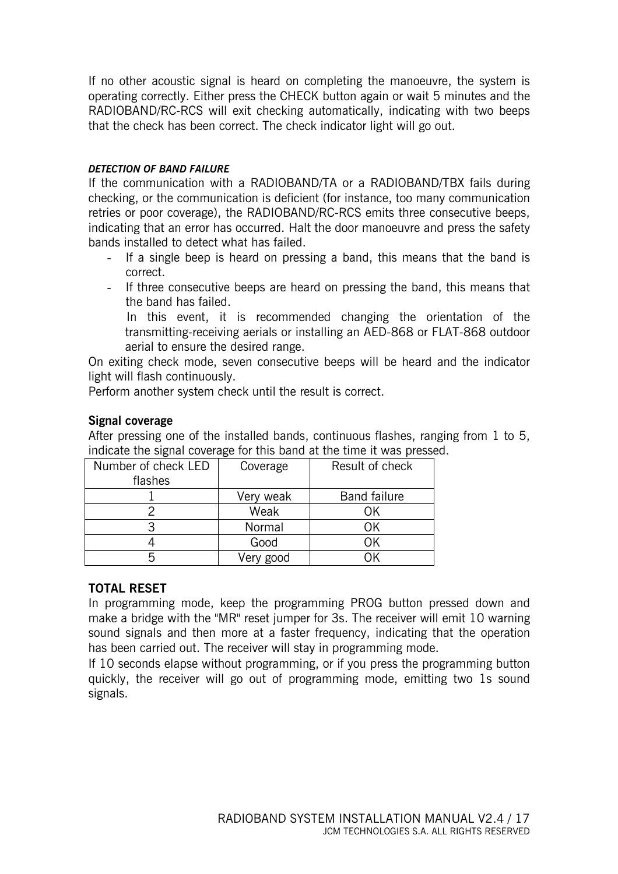If no other acoustic signal is heard on completing the manoeuvre, the system is operating correctly. Either press the CHECK button again or wait 5 minutes and the RADIOBAND/RC-RCS will exit checking automatically, indicating with two beeps that the check has been correct. The check indicator light will go out.

#### *DETECTION OF BAND FAILURE*

If the communication with a RADIOBAND/TA or a RADIOBAND/TBX fails during checking, or the communication is deficient (for instance, too many communication retries or poor coverage), the RADIOBAND/RC-RCS emits three consecutive beeps, indicating that an error has occurred. Halt the door manoeuvre and press the safety bands installed to detect what has failed.

- If a single beep is heard on pressing a band, this means that the band is correct.
- If three consecutive beeps are heard on pressing the band, this means that the band has failed.

In this event, it is recommended changing the orientation of the transmitting-receiving aerials or installing an AED-868 or FLAT-868 outdoor aerial to ensure the desired range.

On exiting check mode, seven consecutive beeps will be heard and the indicator light will flash continuously.

Perform another system check until the result is correct.

#### **Signal coverage**

After pressing one of the installed bands, continuous flashes, ranging from 1 to 5, indicate the signal coverage for this band at the time it was pressed.

| Number of check LED | Coverage  | Result of check     |
|---------------------|-----------|---------------------|
| flashes             |           |                     |
|                     | Very weak | <b>Band failure</b> |
|                     | Weak      | ΩK                  |
|                     | Normal    | ОK                  |
|                     | Good      |                     |
|                     | Very good |                     |

#### **TOTAL RESET**

In programming mode, keep the programming PROG button pressed down and make a bridge with the "MR" reset jumper for 3s. The receiver will emit 10 warning sound signals and then more at a faster frequency, indicating that the operation has been carried out. The receiver will stay in programming mode.

If 10 seconds elapse without programming, or if you press the programming button quickly, the receiver will go out of programming mode, emitting two 1s sound signals.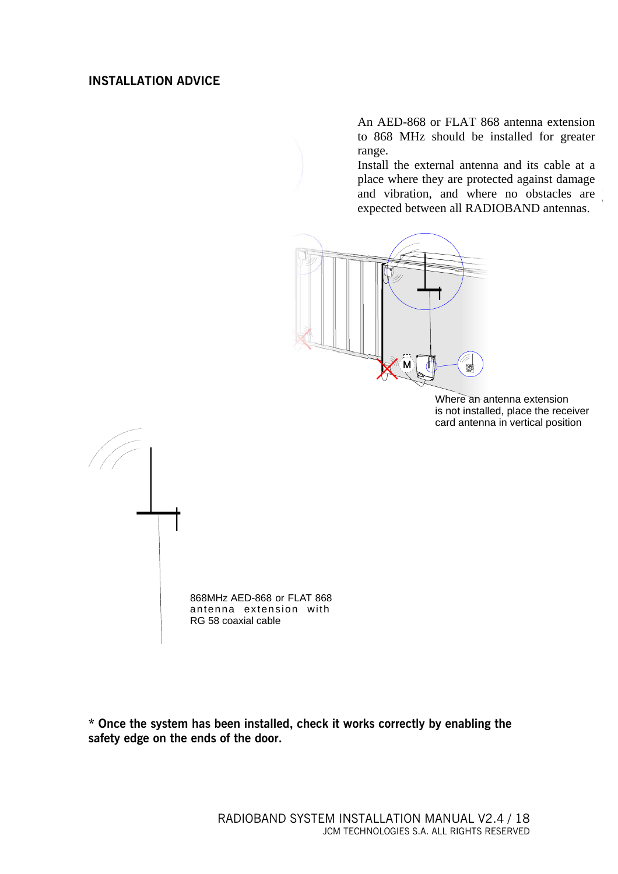#### **INSTALLATION ADVICE**

An AED-868 or FLAT 868 antenna extension to 868 MHz should be installed for greater range.

and vibration, and where no obstacles are and visitation, and where no ossueres are expected between all RADIOBAND antennas. Install the external antenna and its cable at a place where they are protected against damage



Where an antenna extension is not installed, place the receiver card antenna in vertical position



**\* Once the system has been installed, check it works correctly by enabling the safety edge on the ends of the door.**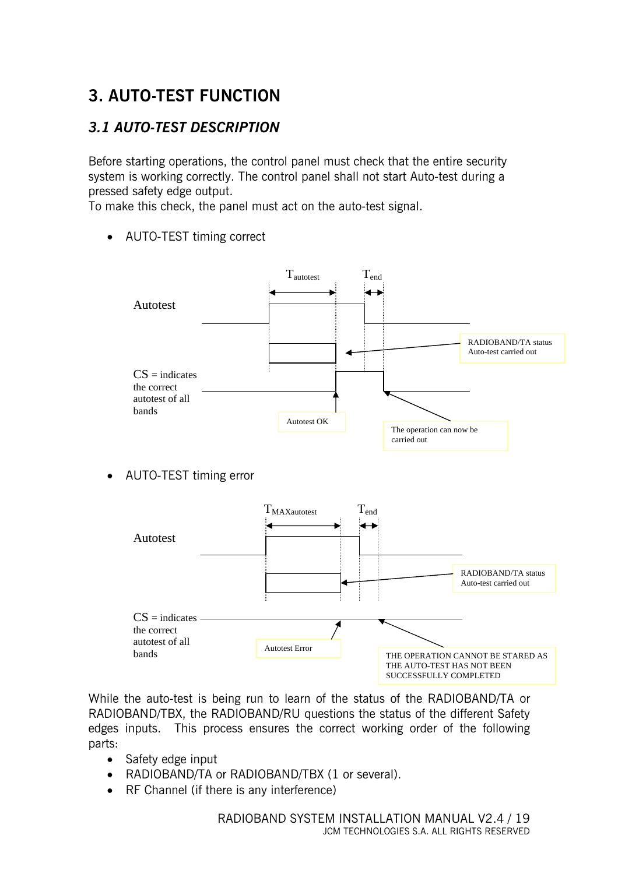# **3. AUTO-TEST FUNCTION**

#### *3.1 AUTO-TEST DESCRIPTION*

Before starting operations, the control panel must check that the entire security system is working correctly. The control panel shall not start Auto-test during a pressed safety edge output.

To make this check, the panel must act on the auto-test signal.

• AUTO-TEST timing correct



• AUTO-TEST timing error



While the auto-test is being run to learn of the status of the RADIOBAND/TA or RADIOBAND/TBX, the RADIOBAND/RU questions the status of the different Safety edges inputs. This process ensures the correct working order of the following parts:

- Safety edge input
- RADIOBAND/TA or RADIOBAND/TBX (1 or several).
- RF Channel (if there is any interference)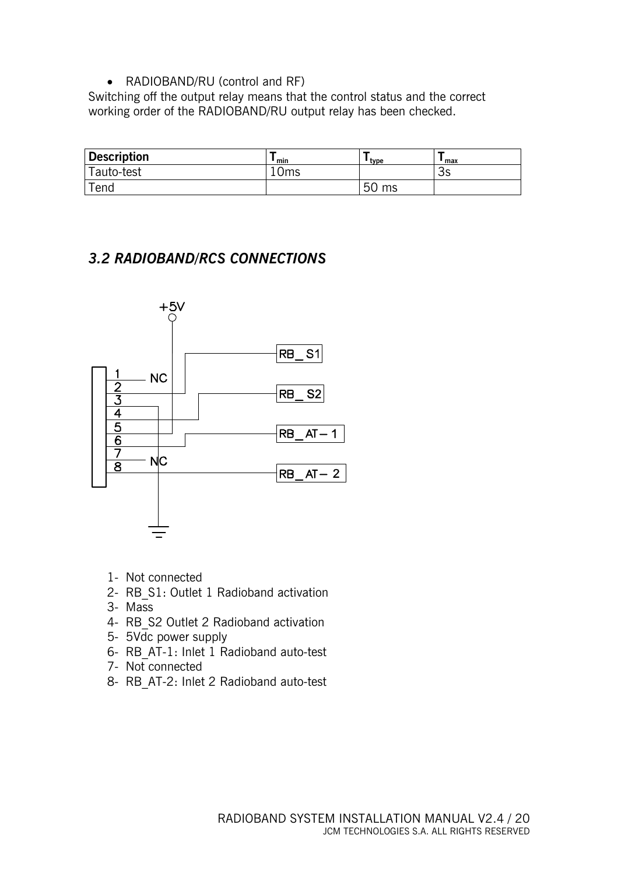• RADIOBAND/RU (control and RF)

Switching off the output relay means that the control status and the correct working order of the RADIOBAND/RU output relay has been checked.

| <b>Description</b> | min   | ' tvpe   | ' max   |
|--------------------|-------|----------|---------|
| Tauto-test         | l Oms |          | ⌒<br>3S |
| $\mathsf{Tend}$    |       | 50<br>ms |         |

#### *3.2 RADIOBAND/RCS CONNECTIONS*



- 1- Not connected
- 2- RB\_S1: Outlet 1 Radioband activation
- 3- Mass
- 4- RB\_S2 Outlet 2 Radioband activation
- 5- 5Vdc power supply
- 6- RB\_AT-1: Inlet 1 Radioband auto-test
- 7- Not connected
- 8- RB\_AT-2: Inlet 2 Radioband auto-test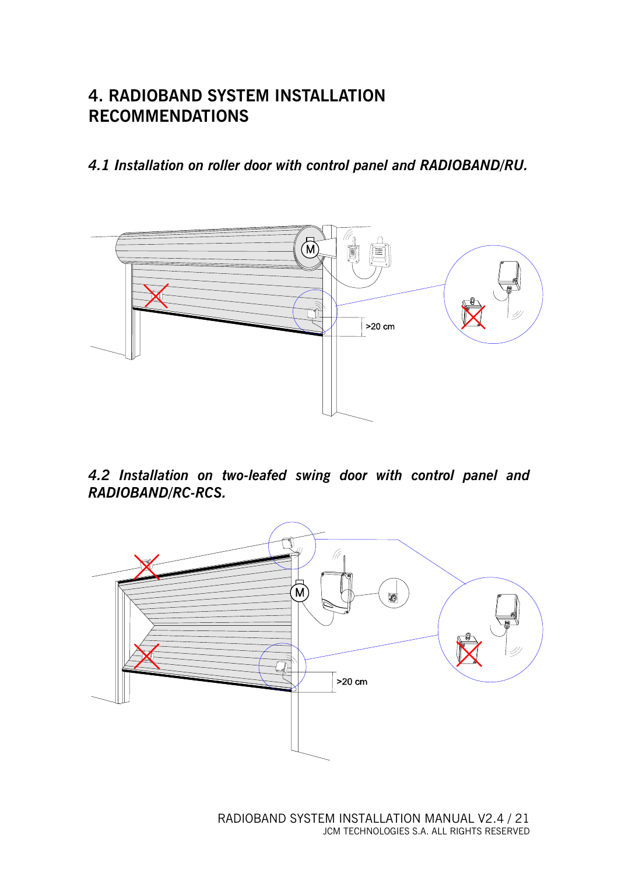### **4. RADIOBAND SYSTEM INSTALLATION RECOMMENDATIONS**

*4.1 Installation on roller door with control panel and RADIOBAND/RU.* 



*4.2 Installation on two-leafed swing door with control panel and RADIOBAND/RC-RCS.* 

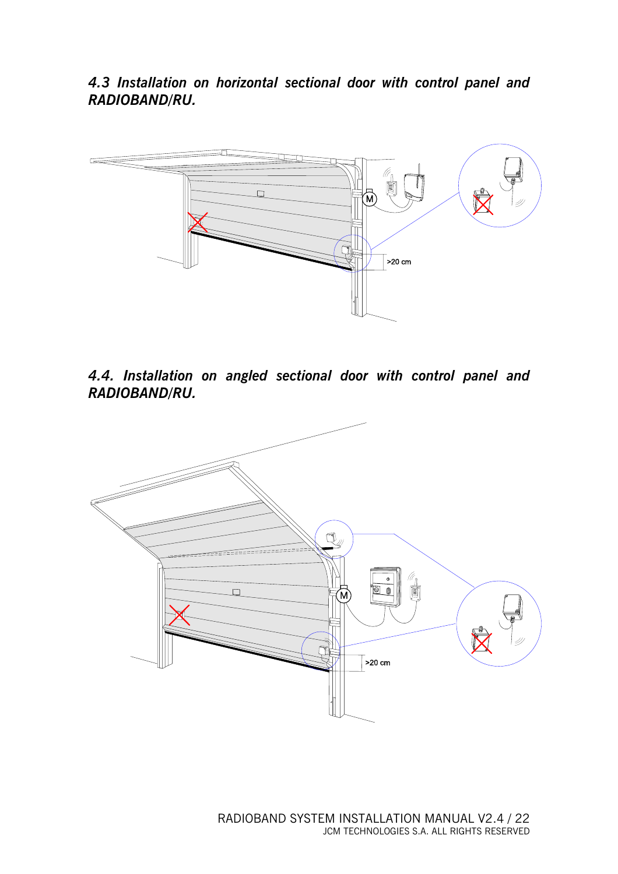*4.3 Installation on horizontal sectional door with control panel and RADIOBAND/RU.* 



*4.4. Installation on angled sectional door with control panel and RADIOBAND/RU.* 

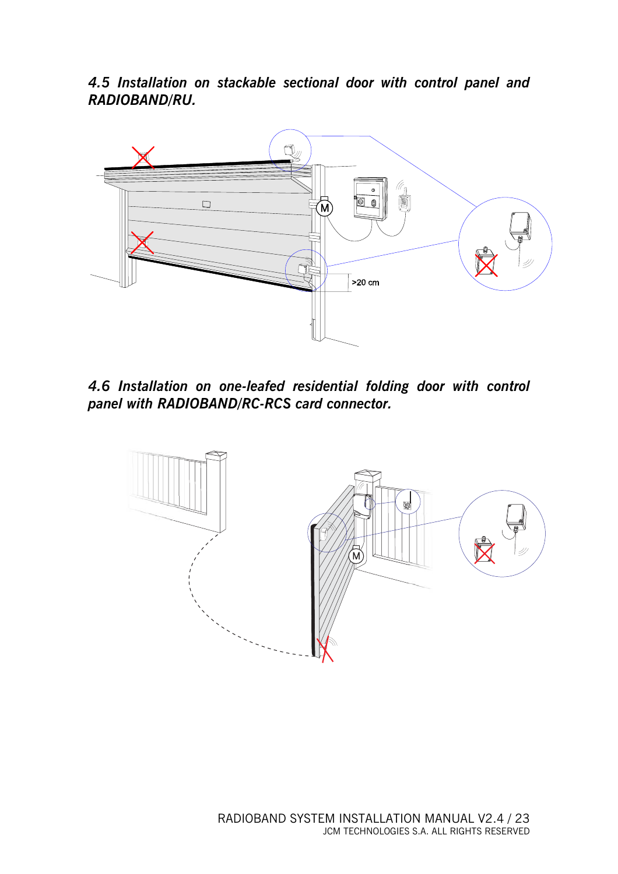*4.5 Installation on stackable sectional door with control panel and RADIOBAND/RU.* 



*4.6 Installation on one-leafed residential folding door with control panel with RADIOBAND/RC-RCS card connector.* 

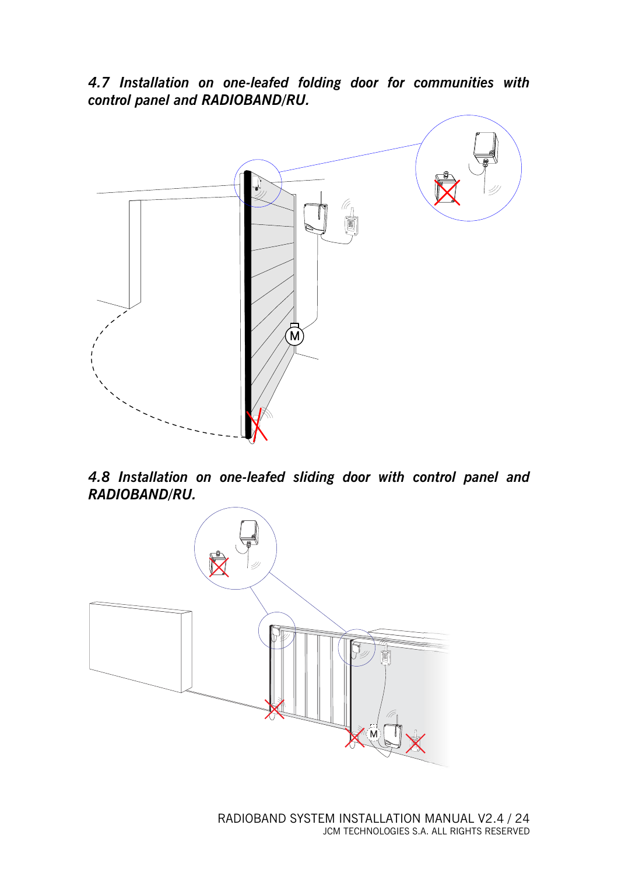*4.7 Installation on one-leafed folding door for communities with control panel and RADIOBAND/RU.* 



*4.8 Installation on one-leafed sliding door with control panel and RADIOBAND/RU.* 

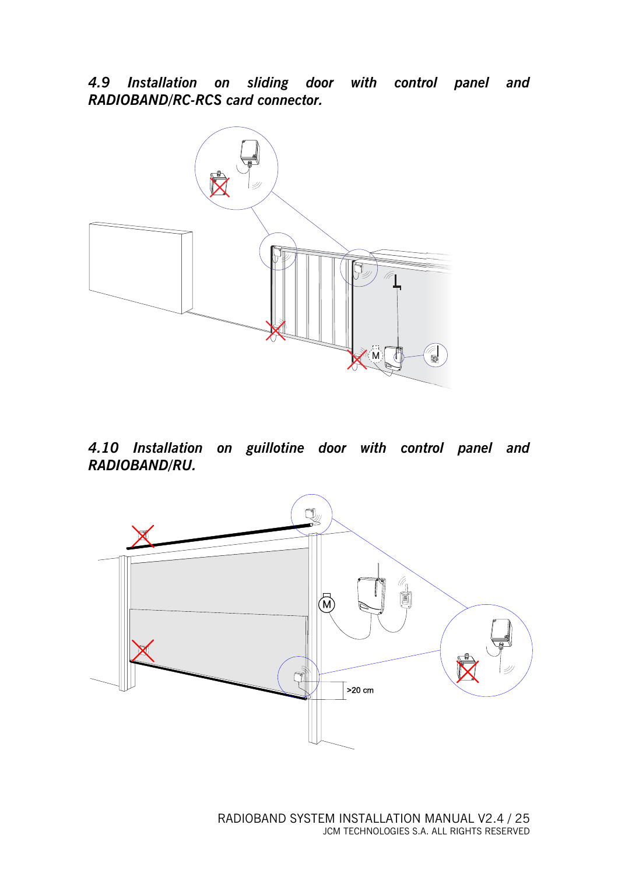*4.9 Installation on sliding door with control panel and RADIOBAND/RC-RCS card connector.* 



*4.10 Installation on guillotine door with control panel and RADIOBAND/RU.* 

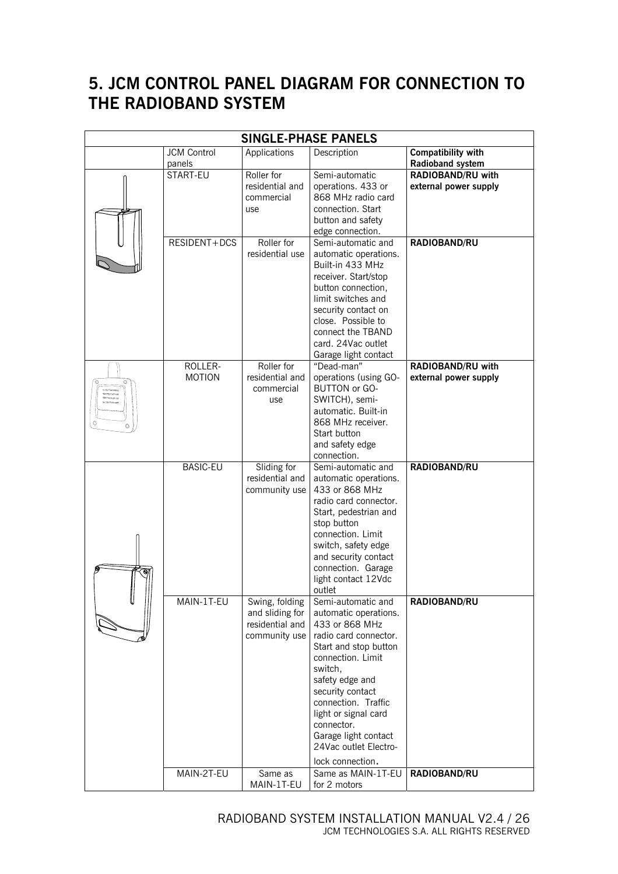## **5. JCM CONTROL PANEL DIAGRAM FOR CONNECTION TO THE RADIOBAND SYSTEM**

| <b>SINGLE-PHASE PANELS</b> |                              |                                                                       |                                                                                                                                                                                                                                                                                                                          |                                                   |
|----------------------------|------------------------------|-----------------------------------------------------------------------|--------------------------------------------------------------------------------------------------------------------------------------------------------------------------------------------------------------------------------------------------------------------------------------------------------------------------|---------------------------------------------------|
|                            | <b>JCM Control</b><br>panels | Applications                                                          | Description                                                                                                                                                                                                                                                                                                              | <b>Compatibility with</b><br>Radioband system     |
|                            | START-EU                     | Roller for<br>residential and<br>commercial<br>use                    | Semi-automatic<br>operations. 433 or<br>868 MHz radio card<br>connection. Start<br>button and safety<br>edge connection.                                                                                                                                                                                                 | <b>RADIOBAND/RU with</b><br>external power supply |
|                            | RESIDENT+DCS                 | Roller for<br>residential use                                         | Semi-automatic and<br>automatic operations.<br>Built-in 433 MHz<br>receiver. Start/stop<br>button connection,<br>limit switches and<br>security contact on<br>close. Possible to<br>connect the TBAND<br>card. 24Vac outlet<br>Garage light contact                                                                      | RADIOBAND/RU                                      |
|                            | ROLLER-<br><b>MOTION</b>     | Roller for<br>residential and<br>commercial<br>use                    | "Dead-man"<br>operations (using GO-<br><b>BUTTON or GO-</b><br>SWITCH), semi-<br>automatic. Built-in<br>868 MHz receiver.<br>Start button<br>and safety edge<br>connection.                                                                                                                                              | RADIOBAND/RU with<br>external power supply        |
|                            | <b>BASIC-EU</b>              | Sliding for<br>residential and<br>community use                       | Semi-automatic and<br>automatic operations.<br>433 or 868 MHz<br>radio card connector.<br>Start, pedestrian and<br>stop button<br>connection. Limit<br>switch, safety edge<br>and security contact<br>connection. Garage<br>light contact 12Vdc<br>outlet                                                                | RADIOBAND/RU                                      |
|                            | MAIN-1T-EU                   | Swing, folding<br>and sliding for<br>residential and<br>community use | Semi-automatic and<br>automatic operations.<br>433 or 868 MHz<br>radio card connector.<br>Start and stop button<br>connection. Limit<br>switch,<br>safety edge and<br>security contact<br>connection. Traffic<br>light or signal card<br>connector.<br>Garage light contact<br>24Vac outlet Electro-<br>lock connection. | RADIOBAND/RU                                      |
|                            | MAIN-2T-EU                   | Same as<br>MAIN-1T-EU                                                 | Same as MAIN-1T-EU<br>for 2 motors                                                                                                                                                                                                                                                                                       | RADIOBAND/RU                                      |

 RADIOBAND SYSTEM INSTALLATION MANUAL V2.4 / 26 JCM TECHNOLOGIES S.A. ALL RIGHTS RESERVED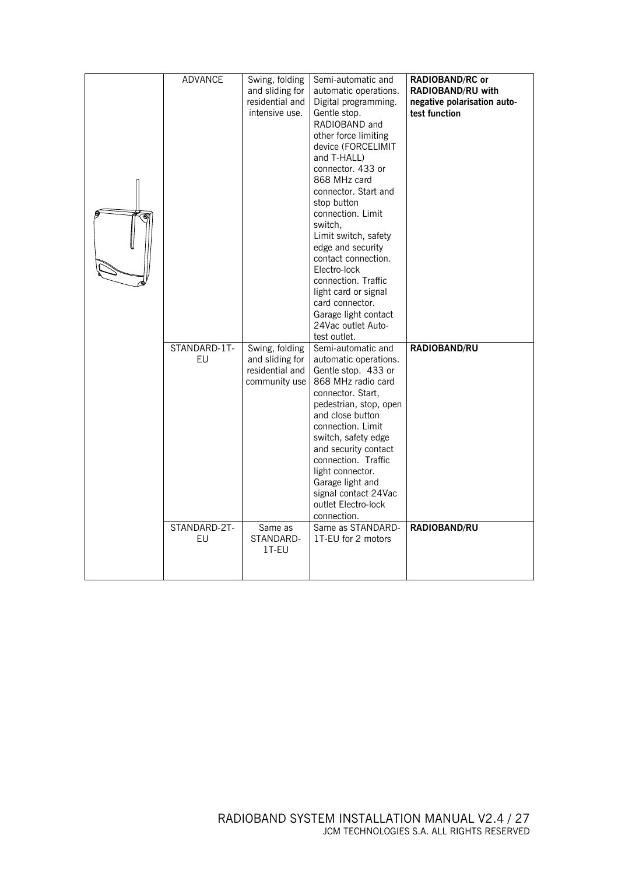| <b>ADVANCE</b>                           | Swing, folding<br>and sliding for<br>residential and<br>intensive use.                                 | Semi-automatic and<br>automatic operations.<br>Digital programming.<br>Gentle stop.<br>RADIOBAND and<br>other force limiting<br>device (FORCELIMIT<br>and T-HALL)<br>connector. 433 or<br>868 MHz card<br>connector, Start and<br>stop button<br>connection. Limit<br>switch.<br>Limit switch, safety<br>edge and security<br>contact connection.<br>Electro-lock<br>connection. Traffic<br>light card or signal<br>card connector.<br>Garage light contact<br>24Vac outlet Auto-<br>test outlet. | RADIOBAND/RC or<br>RADIOBAND/RU with<br>negative polarisation auto-<br>test function |
|------------------------------------------|--------------------------------------------------------------------------------------------------------|---------------------------------------------------------------------------------------------------------------------------------------------------------------------------------------------------------------------------------------------------------------------------------------------------------------------------------------------------------------------------------------------------------------------------------------------------------------------------------------------------|--------------------------------------------------------------------------------------|
| STANDARD-1T-<br>EU<br>STANDARD-2T-<br>EU | Swing, folding<br>and sliding for<br>residential and<br>community use<br>Same as<br>STANDARD-<br>1T-EU | Semi-automatic and<br>automatic operations.<br>Gentle stop. 433 or<br>868 MHz radio card<br>connector. Start,<br>pedestrian, stop, open<br>and close button<br>connection. Limit<br>switch, safety edge<br>and security contact<br>connection. Traffic<br>light connector.<br>Garage light and<br>signal contact 24Vac<br>outlet Electro-lock<br>connection.<br>Same as STANDARD-<br>1T-EU for 2 motors                                                                                           | RADIOBAND/RU<br>RADIOBAND/RU                                                         |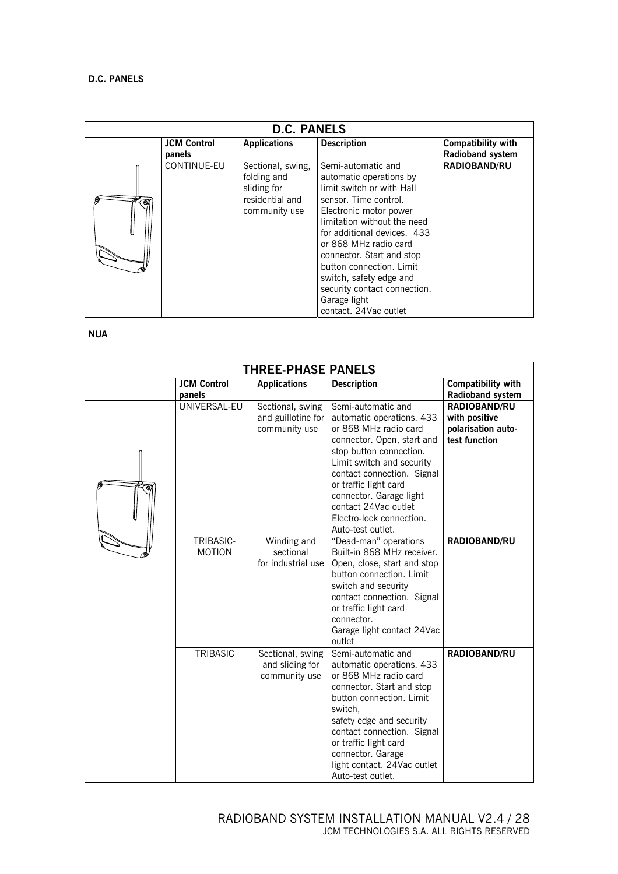| <b>D.C. PANELS</b> |                    |                                                                                     |                                                                                                                                                                                                                                                                                                                                                                                   |                           |  |
|--------------------|--------------------|-------------------------------------------------------------------------------------|-----------------------------------------------------------------------------------------------------------------------------------------------------------------------------------------------------------------------------------------------------------------------------------------------------------------------------------------------------------------------------------|---------------------------|--|
|                    | <b>JCM Control</b> | <b>Applications</b>                                                                 | <b>Description</b>                                                                                                                                                                                                                                                                                                                                                                | <b>Compatibility with</b> |  |
|                    | panels             |                                                                                     |                                                                                                                                                                                                                                                                                                                                                                                   | Radioband system          |  |
|                    | CONTINUE-EU        | Sectional, swing,<br>folding and<br>sliding for<br>residential and<br>community use | Semi-automatic and<br>automatic operations by<br>limit switch or with Hall<br>sensor. Time control.<br>Electronic motor power<br>limitation without the need<br>for additional devices. 433<br>or 868 MHz radio card<br>connector. Start and stop<br>button connection. Limit<br>switch, safety edge and<br>security contact connection.<br>Garage light<br>contact. 24Vac outlet | <b>RADIOBAND/RU</b>       |  |

#### **NUA**

| <b>THREE-PHASE PANELS</b> |                              |                                                         |                                                                                                                                                                                                                                                                                                                           |                                                                      |
|---------------------------|------------------------------|---------------------------------------------------------|---------------------------------------------------------------------------------------------------------------------------------------------------------------------------------------------------------------------------------------------------------------------------------------------------------------------------|----------------------------------------------------------------------|
|                           | <b>JCM Control</b><br>panels | <b>Applications</b>                                     | <b>Description</b>                                                                                                                                                                                                                                                                                                        | <b>Compatibility with</b><br>Radioband system                        |
| Θ,                        | UNIVERSAL-EU                 | Sectional, swing<br>and guillotine for<br>community use | Semi-automatic and<br>automatic operations. 433<br>or 868 MHz radio card<br>connector. Open, start and<br>stop button connection.<br>Limit switch and security<br>contact connection. Signal<br>or traffic light card<br>connector. Garage light<br>contact 24Vac outlet<br>Electro-lock connection.<br>Auto-test outlet. | RADIOBAND/RU<br>with positive<br>polarisation auto-<br>test function |
|                           | TRIBASIC-<br><b>MOTION</b>   | Winding and<br>sectional<br>for industrial use          | "Dead-man" operations<br>Built-in 868 MHz receiver.<br>Open, close, start and stop<br>button connection. Limit<br>switch and security<br>contact connection. Signal<br>or traffic light card<br>connector.<br>Garage light contact 24Vac<br>outlet                                                                        | RADIOBAND/RU                                                         |
|                           | TRIBASIC                     | Sectional, swing<br>and sliding for<br>community use    | Semi-automatic and<br>automatic operations. 433<br>or 868 MHz radio card<br>connector. Start and stop<br>button connection. Limit<br>switch,<br>safety edge and security<br>contact connection. Signal<br>or traffic light card<br>connector. Garage<br>light contact. 24Vac outlet<br>Auto-test outlet.                  | RADIOBAND/RU                                                         |